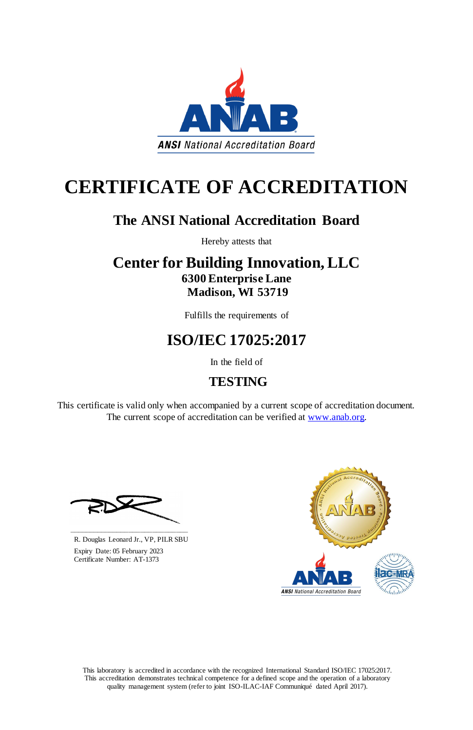This laboratory is accredited in accordance with the recognized International Standard ISO/IEC 17025:2017. This accreditation demonstrates technical competence for a defined scope and the operation of a laboratory quality management system (refer to joint ISO-ILAC-IAF Communiqué dated April 2017).

This certificate is valid only when accompanied by a current scope of accreditation document. The current scope of accreditation can be verified at [www.anab.org.](http://www.anab.org/)



# **CERTIFICATE OF ACCREDITATION**

### **The ANSI National Accreditation Board**

Hereby attests that

### **Center for Building Innovation, LLC 6300 Enterprise Lane Madison, WI 53719**

Fulfills the requirements of

## **ISO/IEC 17025:2017**

In the field of

### **TESTING**





R. Douglas Leonard Jr., VP, PILR SBU

 Expiry Date: 05 February 2023 Certificate Number: AT-1373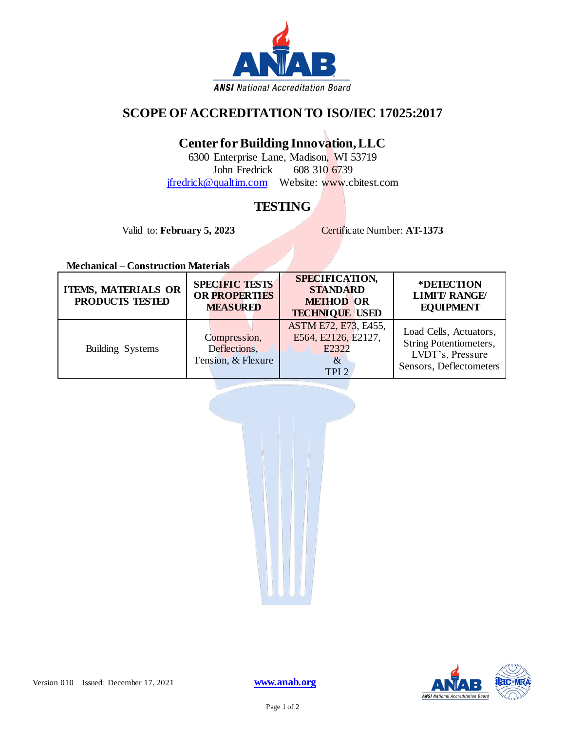

#### **SCOPE OF ACCREDITATION TO ISO/IEC 17025:2017**

#### **Center for Building Innovation, LLC**

6300 Enterprise Lane, Madison, WI 53719 John Fredrick 608 310 6739 [jfredrick@qualtim.com](mailto:jfredrick@qualtim.com) Website: www.cbitest.com

#### **TESTING**

Valid to: **February 5, 2023** Certificate Number: **AT-1373** 

**Mechanical – Construction Materials**

| <b>ITEMS, MATERIALS OR</b><br>PRODUCTS TESTED | <b>SPECIFIC TESTS</b><br><b>OR PROPERTIES</b><br><b>MEASURED</b> | SPECIFICATION,<br><b>STANDARD</b><br><b>METHOD OR</b><br><b>TECHNIQUE USED</b>   | *DETECTION<br><b>LIMIT/ RANGE/</b><br><b>EQUIPMENT</b>                                          |
|-----------------------------------------------|------------------------------------------------------------------|----------------------------------------------------------------------------------|-------------------------------------------------------------------------------------------------|
| Building Systems                              | Compression,<br>Deflections,<br>Tension, & Flexure               | ASTM E72, E73, E455,<br>E564, E2126, E2127,<br>E2322<br>$\&$<br>TPI <sub>2</sub> | Load Cells, Actuators,<br>String Potentiometers,<br>LVDT's, Pressure<br>Sensors, Deflectometers |